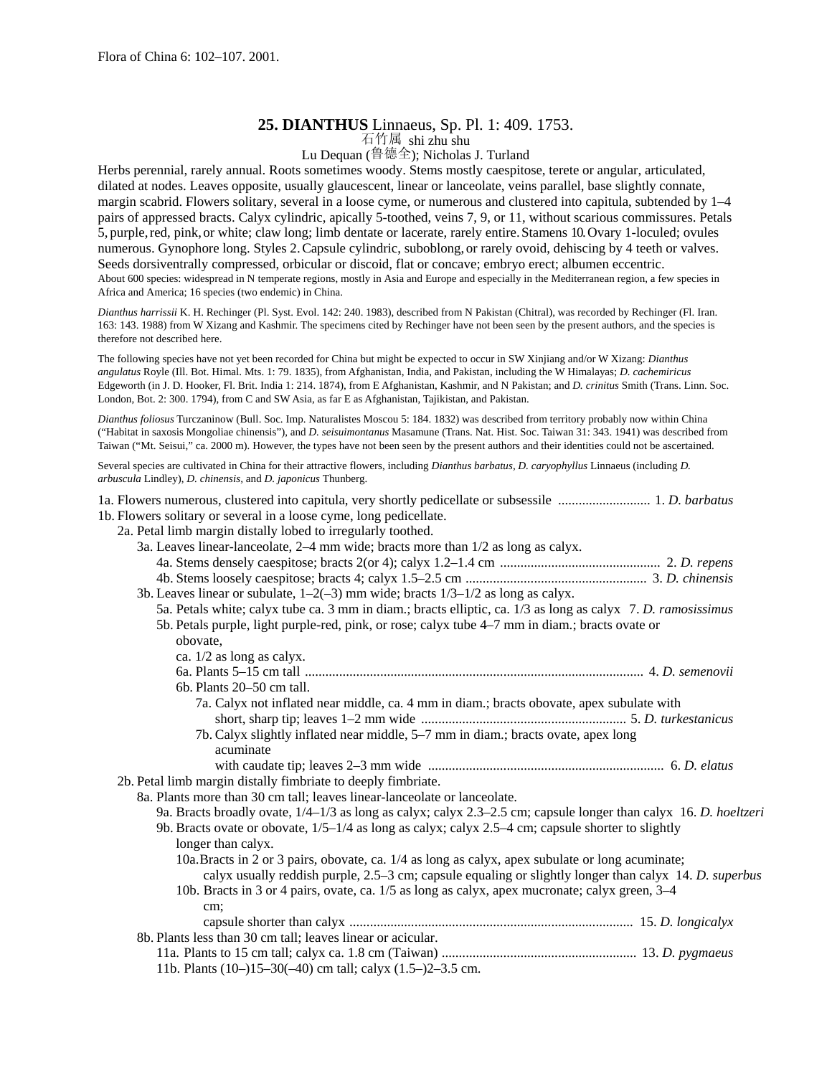## **25. DIANTHUS** Linnaeus, Sp. Pl. 1: 409. 1753.

石竹属 shi zhu shu

Lu Dequan (鲁德全); Nicholas J. Turland

Herbs perennial, rarely annual. Roots sometimes woody. Stems mostly caespitose, terete or angular, articulated, dilated at nodes. Leaves opposite, usually glaucescent, linear or lanceolate, veins parallel, base slightly connate, margin scabrid. Flowers solitary, several in a loose cyme, or numerous and clustered into capitula, subtended by 1–4 pairs of appressed bracts. Calyx cylindric, apically 5-toothed, veins 7, 9, or 11, without scarious commissures. Petals 5, purple,red, pink,or white; claw long; limb dentate or lacerate, rarely entire.Stamens 10.Ovary 1-loculed; ovules numerous. Gynophore long. Styles 2.Capsule cylindric, suboblong,or rarely ovoid, dehiscing by 4 teeth or valves. Seeds dorsiventrally compressed, orbicular or discoid, flat or concave; embryo erect; albumen eccentric. About 600 species: widespread in N temperate regions, mostly in Asia and Europe and especially in the Mediterranean region, a few species in Africa and America; 16 species (two endemic) in China.

*Dianthus harrissii* K. H. Rechinger (Pl. Syst. Evol. 142: 240. 1983), described from N Pakistan (Chitral), was recorded by Rechinger (Fl. Iran. 163: 143. 1988) from W Xizang and Kashmir. The specimens cited by Rechinger have not been seen by the present authors, and the species is therefore not described here.

The following species have not yet been recorded for China but might be expected to occur in SW Xinjiang and/or W Xizang: *Dianthus angulatus* Royle (Ill. Bot. Himal. Mts. 1: 79. 1835), from Afghanistan, India, and Pakistan, including the W Himalayas; *D. cachemiricus* Edgeworth (in J. D. Hooker, Fl. Brit. India 1: 214. 1874), from E Afghanistan, Kashmir, and N Pakistan; and *D. crinitus* Smith (Trans. Linn. Soc. London, Bot. 2: 300. 1794), from C and SW Asia, as far E as Afghanistan, Tajikistan, and Pakistan.

*Dianthus foliosus* Turczaninow (Bull. Soc. Imp. Naturalistes Moscou 5: 184. 1832) was described from territory probably now within China ("Habitat in saxosis Mongoliae chinensis"), and *D. seisuimontanus* Masamune (Trans. Nat. Hist. Soc. Taiwan 31: 343. 1941) was described from Taiwan ("Mt. Seisui," ca. 2000 m). However, the types have not been seen by the present authors and their identities could not be ascertained.

Several species are cultivated in China for their attractive flowers, including *Dianthus barbatus, D. caryophyllus* Linnaeus (including *D. arbuscula* Lindley), *D. chinensis,* and *D. japonicus* Thunberg.

| 1a. Flowers numerous, clustered into capitula, very shortly pedicellate or subsessile  1. D. barbatus              |  |
|--------------------------------------------------------------------------------------------------------------------|--|
| 1b. Flowers solitary or several in a loose cyme, long pedicellate.                                                 |  |
| 2a. Petal limb margin distally lobed to irregularly toothed.                                                       |  |
| 3a. Leaves linear-lanceolate, 2–4 mm wide; bracts more than 1/2 as long as calyx.                                  |  |
|                                                                                                                    |  |
|                                                                                                                    |  |
| 3b. Leaves linear or subulate, $1-2(-3)$ mm wide; bracts $1/3-1/2$ as long as calyx.                               |  |
| 5a. Petals white; calyx tube ca. 3 mm in diam.; bracts elliptic, ca. 1/3 as long as calyx 7. D. ramosissimus       |  |
| 5b. Petals purple, light purple-red, pink, or rose; calyx tube 4–7 mm in diam.; bracts ovate or                    |  |
| obovate,                                                                                                           |  |
| ca. $1/2$ as long as calyx.                                                                                        |  |
|                                                                                                                    |  |
| 6b. Plants 20–50 cm tall.                                                                                          |  |
| 7a. Calyx not inflated near middle, ca. 4 mm in diam.; bracts obovate, apex subulate with                          |  |
|                                                                                                                    |  |
| 7b. Calyx slightly inflated near middle, 5-7 mm in diam.; bracts ovate, apex long                                  |  |
| acuminate                                                                                                          |  |
|                                                                                                                    |  |
| 2b. Petal limb margin distally fimbriate to deeply fimbriate.                                                      |  |
| 8a. Plants more than 30 cm tall; leaves linear-lanceolate or lanceolate.                                           |  |
| 9a. Bracts broadly ovate, $1/4-1/3$ as long as calyx; calyx 2.3–2.5 cm; capsule longer than calyx 16. D. hoeltzeri |  |
| 9b. Bracts ovate or obovate, $1/5-1/4$ as long as calyx; calyx 2.5–4 cm; capsule shorter to slightly               |  |
| longer than calyx.                                                                                                 |  |
| 10a. Bracts in 2 or 3 pairs, obovate, ca. 1/4 as long as calyx, apex subulate or long acuminate;                   |  |
| calyx usually reddish purple, 2.5–3 cm; capsule equaling or slightly longer than calyx 14. D. superbus             |  |
| 10b. Bracts in 3 or 4 pairs, ovate, ca. 1/5 as long as calyx, apex mucronate; calyx green, 3-4                     |  |
| cm;                                                                                                                |  |
|                                                                                                                    |  |
| 8b. Plants less than 30 cm tall; leaves linear or acicular.                                                        |  |
|                                                                                                                    |  |
| 11b. Plants (10–)15–30(–40) cm tall; calyx (1.5–)2–3.5 cm.                                                         |  |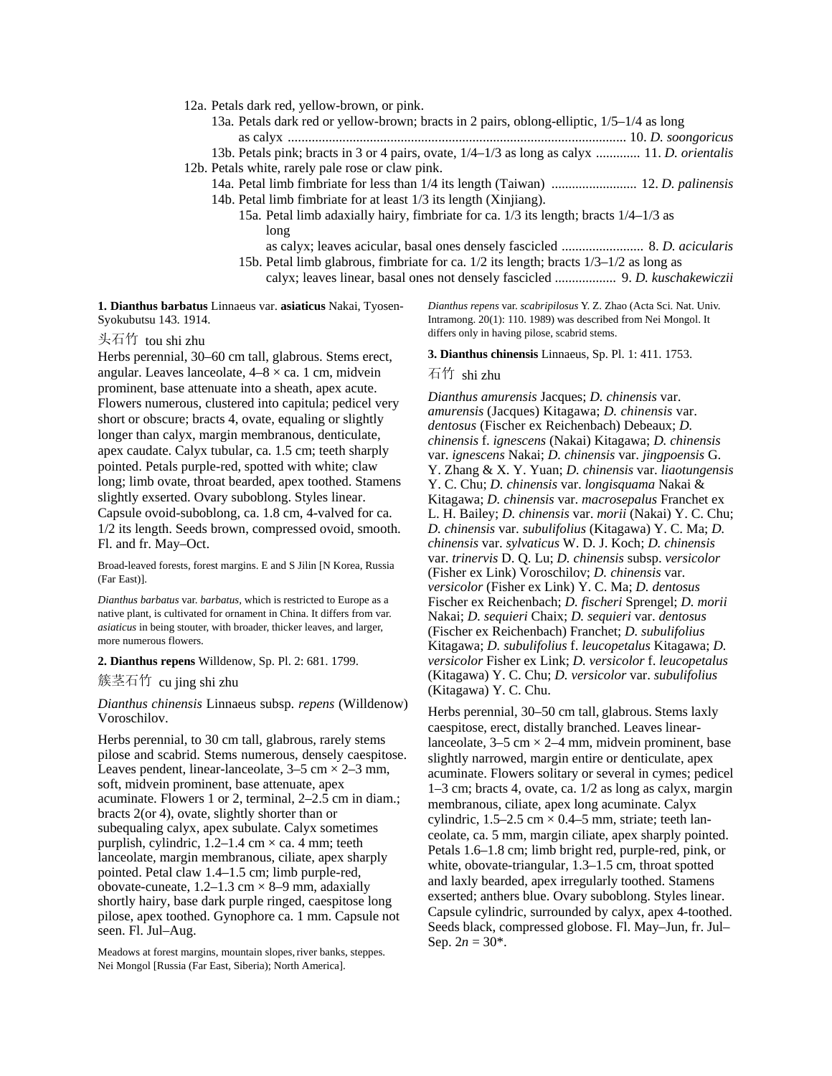12a. Petals dark red, yellow-brown, or pink.

- 13a. Petals dark red or yellow-brown; bracts in 2 pairs, oblong-elliptic, 1/5–1/4 as long as calyx ................................................................................................... 10. *D. soongoricus* 13b. Petals pink; bracts in 3 or 4 pairs, ovate, 1/4–1/3 as long as calyx ............. 11. *D. orientalis*
- 12b. Petals white, rarely pale rose or claw pink.
	- 14a. Petal limb fimbriate for less than 1/4 its length (Taiwan) ......................... 12. *D. palinensis* 14b. Petal limb fimbriate for at least 1/3 its length (Xinjiang).
		- 15a. Petal limb adaxially hairy, fimbriate for ca. 1/3 its length; bracts 1/4–1/3 as long
			- as calyx; leaves acicular, basal ones densely fascicled ........................ 8. *D. acicularis*
		- 15b. Petal limb glabrous, fimbriate for ca. 1/2 its length; bracts 1/3–1/2 as long as

calyx; leaves linear, basal ones not densely fascicled .................. 9. *D. kuschakewiczii*

**1. Dianthus barbatus** Linnaeus var. **asiaticus** Nakai, Tyosen-Syokubutsu 143. 1914.

#### 头石竹 tou shi zhu

Herbs perennial, 30–60 cm tall, glabrous. Stems erect, angular. Leaves lanceolate,  $4-8 \times ca$ . 1 cm, midvein prominent, base attenuate into a sheath, apex acute. Flowers numerous, clustered into capitula; pedicel very short or obscure; bracts 4, ovate, equaling or slightly longer than calyx, margin membranous, denticulate, apex caudate. Calyx tubular, ca. 1.5 cm; teeth sharply pointed. Petals purple-red, spotted with white; claw long; limb ovate, throat bearded, apex toothed. Stamens slightly exserted. Ovary suboblong. Styles linear. Capsule ovoid-suboblong, ca. 1.8 cm, 4-valved for ca. 1/2 its length. Seeds brown, compressed ovoid, smooth. Fl. and fr. May–Oct.

Broad-leaved forests, forest margins. E and S Jilin [N Korea, Russia (Far East)].

*Dianthus barbatus* var. *barbatus,* which is restricted to Europe as a native plant, is cultivated for ornament in China. It differs from var. *asiaticus* in being stouter, with broader, thicker leaves, and larger, more numerous flowers.

#### **2. Dianthus repens** Willdenow, Sp. Pl. 2: 681. 1799.

簇茎石竹 cu jing shi zhu

*Dianthus chinensis* Linnaeus subsp. *repens* (Willdenow) Voroschilov.

Herbs perennial, to 30 cm tall, glabrous, rarely stems pilose and scabrid. Stems numerous, densely caespitose. Leaves pendent, linear-lanceolate,  $3-5$  cm  $\times$  2-3 mm, soft, midvein prominent, base attenuate, apex acuminate. Flowers 1 or 2, terminal, 2–2.5 cm in diam.; bracts 2(or 4), ovate, slightly shorter than or subequaling calyx, apex subulate. Calyx sometimes purplish, cylindric,  $1.2-1.4$  cm  $\times$  ca. 4 mm; teeth lanceolate, margin membranous, ciliate, apex sharply pointed. Petal claw 1.4–1.5 cm; limb purple-red, obovate-cuneate,  $1.2-1.3$  cm  $\times$  8–9 mm, adaxially shortly hairy, base dark purple ringed, caespitose long pilose, apex toothed. Gynophore ca. 1 mm. Capsule not seen. Fl. Jul–Aug.

Meadows at forest margins, mountain slopes, river banks, steppes. Nei Mongol [Russia (Far East, Siberia); North America].

*Dianthus repens* var. *scabripilosus* Y. Z. Zhao (Acta Sci. Nat. Univ. Intramong. 20(1): 110. 1989) was described from Nei Mongol. It differs only in having pilose, scabrid stems.

#### **3. Dianthus chinensis** Linnaeus, Sp. Pl. 1: 411. 1753.

### 石竹 shi zhu

*Dianthus amurensis* Jacques; *D. chinensis* var. *amurensis* (Jacques) Kitagawa; *D. chinensis* var. *dentosus* (Fischer ex Reichenbach) Debeaux; *D. chinensis* f. *ignescens* (Nakai) Kitagawa; *D. chinensis* var. *ignescens* Nakai; *D. chinensis* var. *jingpoensis* G. Y. Zhang & X. Y. Yuan; *D. chinensis* var. *liaotungensis* Y. C. Chu; *D. chinensis* var. *longisquama* Nakai & Kitagawa; *D. chinensis* var. *macrosepalus* Franchet ex L. H. Bailey; *D. chinensis* var. *morii* (Nakai) Y. C. Chu; *D. chinensis* var. *subulifolius* (Kitagawa) Y. C. Ma; *D. chinensis* var. *sylvaticus* W. D. J. Koch; *D. chinensis* var. *trinervis* D. Q. Lu; *D. chinensis* subsp. *versicolor* (Fisher ex Link) Voroschilov; *D. chinensis* var. *versicolor* (Fisher ex Link) Y. C. Ma; *D. dentosus* Fischer ex Reichenbach; *D. fischeri* Sprengel; *D. morii* Nakai; *D. sequieri* Chaix; *D. sequieri* var. *dentosus* (Fischer ex Reichenbach) Franchet; *D. subulifolius* Kitagawa; *D. subulifolius* f. *leucopetalus* Kitagawa; *D. versicolor* Fisher ex Link; *D. versicolor* f. *leucopetalus* (Kitagawa) Y. C. Chu; *D. versicolor* var. *subulifolius* (Kitagawa) Y. C. Chu.

Herbs perennial, 30–50 cm tall, glabrous. Stems laxly caespitose, erect, distally branched. Leaves linearlanceolate,  $3-5$  cm  $\times$  2-4 mm, midvein prominent, base slightly narrowed, margin entire or denticulate, apex acuminate. Flowers solitary or several in cymes; pedicel 1–3 cm; bracts 4, ovate, ca. 1/2 as long as calyx, margin membranous, ciliate, apex long acuminate. Calyx cylindric,  $1.5-2.5$  cm  $\times$  0.4-5 mm, striate; teeth lanceolate, ca. 5 mm, margin ciliate, apex sharply pointed. Petals 1.6–1.8 cm; limb bright red, purple-red, pink, or white, obovate-triangular, 1.3–1.5 cm, throat spotted and laxly bearded, apex irregularly toothed. Stamens exserted; anthers blue. Ovary suboblong. Styles linear. Capsule cylindric, surrounded by calyx, apex 4-toothed. Seeds black, compressed globose. Fl. May–Jun, fr. Jul– Sep.  $2n = 30^*$ .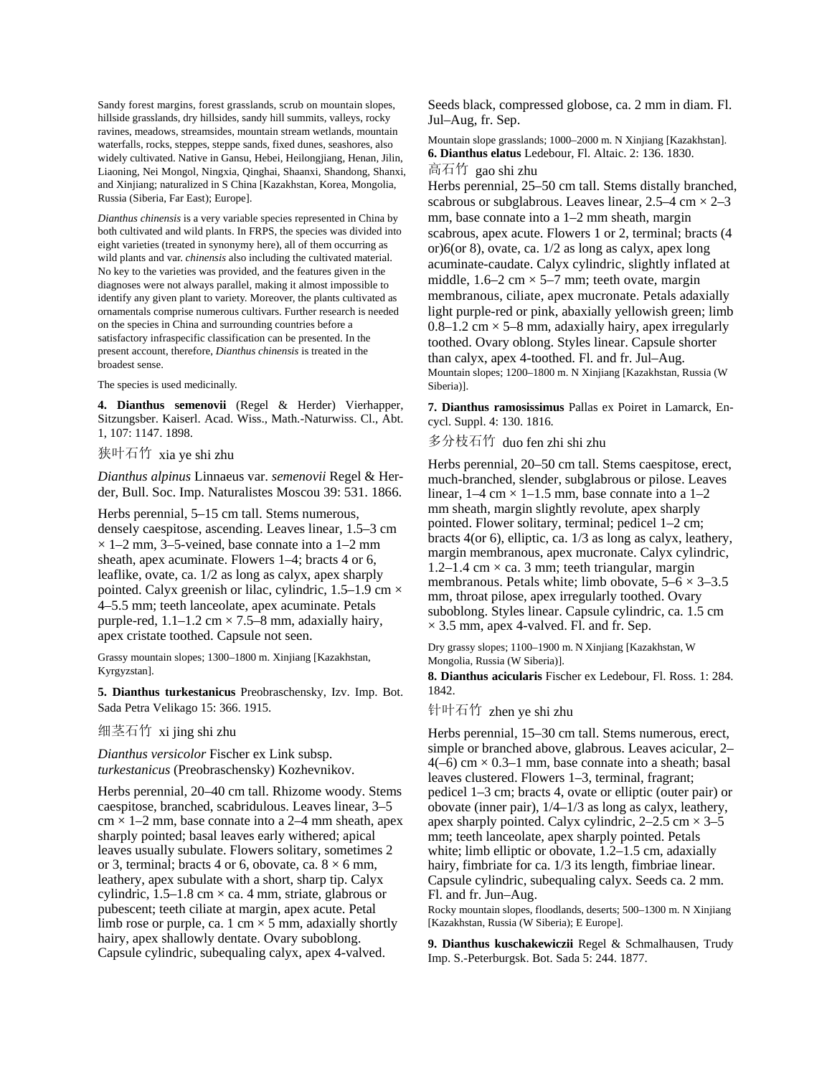Sandy forest margins, forest grasslands, scrub on mountain slopes, hillside grasslands, dry hillsides, sandy hill summits, valleys, rocky ravines, meadows, streamsides, mountain stream wetlands, mountain waterfalls, rocks, steppes, steppe sands, fixed dunes, seashores, also widely cultivated. Native in Gansu, Hebei, Heilongjiang, Henan, Jilin, Liaoning, Nei Mongol, Ningxia, Qinghai, Shaanxi, Shandong, Shanxi, and Xinjiang; naturalized in S China [Kazakhstan, Korea, Mongolia, Russia (Siberia, Far East); Europe].

*Dianthus chinensis* is a very variable species represented in China by both cultivated and wild plants. In FRPS, the species was divided into eight varieties (treated in synonymy here), all of them occurring as wild plants and var. *chinensis* also including the cultivated material. No key to the varieties was provided, and the features given in the diagnoses were not always parallel, making it almost impossible to identify any given plant to variety. Moreover, the plants cultivated as ornamentals comprise numerous cultivars. Further research is needed on the species in China and surrounding countries before a satisfactory infraspecific classification can be presented. In the present account, therefore, *Dianthus chinensis* is treated in the broadest sense.

The species is used medicinally.

**4. Dianthus semenovii** (Regel & Herder) Vierhapper, Sitzungsber. Kaiserl. Acad. Wiss., Math.-Naturwiss. Cl., Abt. 1, 107: 1147. 1898.

# 狭叶石竹 xia ye shi zhu

*Dianthus alpinus* Linnaeus var. *semenovii* Regel & Herder, Bull. Soc. Imp. Naturalistes Moscou 39: 531. 1866.

Herbs perennial, 5–15 cm tall. Stems numerous, densely caespitose, ascending. Leaves linear, 1.5–3 cm  $\times$  1–2 mm, 3–5-veined, base connate into a 1–2 mm sheath, apex acuminate. Flowers 1–4; bracts 4 or 6, leaflike, ovate, ca. 1/2 as long as calyx, apex sharply pointed. Calyx greenish or lilac, cylindric,  $1.5-1.9$  cm  $\times$ 4–5.5 mm; teeth lanceolate, apex acuminate. Petals purple-red,  $1.1-1.2$  cm  $\times$  7.5–8 mm, adaxially hairy, apex cristate toothed. Capsule not seen.

Grassy mountain slopes; 1300–1800 m. Xinjiang [Kazakhstan, Kyrgyzstan].

**5. Dianthus turkestanicus** Preobraschensky, Izv. Imp. Bot. Sada Petra Velikago 15: 366. 1915.

## 细茎石竹 xi jing shi zhu

*Dianthus versicolor* Fischer ex Link subsp. *turkestanicus* (Preobraschensky) Kozhevnikov.

Herbs perennial, 20–40 cm tall. Rhizome woody. Stems caespitose, branched, scabridulous. Leaves linear, 3–5  $cm \times 1-2$  mm, base connate into a 2-4 mm sheath, apex sharply pointed; basal leaves early withered; apical leaves usually subulate. Flowers solitary, sometimes 2 or 3, terminal; bracts 4 or 6, obovate, ca.  $8 \times 6$  mm, leathery, apex subulate with a short, sharp tip. Calyx cylindric,  $1.5-1.8$  cm  $\times$  ca. 4 mm, striate, glabrous or pubescent; teeth ciliate at margin, apex acute. Petal limb rose or purple, ca. 1 cm  $\times$  5 mm, adaxially shortly hairy, apex shallowly dentate. Ovary suboblong. Capsule cylindric, subequaling calyx, apex 4-valved.

Seeds black, compressed globose, ca. 2 mm in diam. Fl. Jul–Aug, fr. Sep.

Mountain slope grasslands; 1000–2000 m. N Xinjiang [Kazakhstan]. **6. Dianthus elatus** Ledebour, Fl. Altaic. 2: 136. 1830. 高石竹 gao shi zhu

Herbs perennial, 25–50 cm tall. Stems distally branched, scabrous or subglabrous. Leaves linear,  $2.5-4$  cm  $\times 2-3$ mm, base connate into a 1–2 mm sheath, margin scabrous, apex acute. Flowers 1 or 2, terminal; bracts (4 or)6(or 8), ovate, ca. 1/2 as long as calyx, apex long acuminate-caudate. Calyx cylindric, slightly inflated at middle,  $1.6-2$  cm  $\times$  5-7 mm; teeth ovate, margin membranous, ciliate, apex mucronate. Petals adaxially light purple-red or pink, abaxially yellowish green; limb  $0.8-1.2$  cm  $\times$  5–8 mm, adaxially hairy, apex irregularly toothed. Ovary oblong. Styles linear. Capsule shorter than calyx, apex 4-toothed. Fl. and fr. Jul–Aug. Mountain slopes; 1200–1800 m. N Xinjiang [Kazakhstan, Russia (W Siberia)].

**7. Dianthus ramosissimus** Pallas ex Poiret in Lamarck, Encycl. Suppl. 4: 130. 1816.

多分枝石竹 duo fen zhi shi zhu

Herbs perennial, 20–50 cm tall. Stems caespitose, erect, much-branched, slender, subglabrous or pilose. Leaves linear,  $1-4$  cm  $\times$  1-1.5 mm, base connate into a 1-2 mm sheath, margin slightly revolute, apex sharply pointed. Flower solitary, terminal; pedicel 1–2 cm; bracts 4(or 6), elliptic, ca. 1/3 as long as calyx, leathery, margin membranous, apex mucronate. Calyx cylindric, 1.2–1.4 cm  $\times$  ca. 3 mm; teeth triangular, margin membranous. Petals white; limb obovate,  $5-6 \times 3-3.5$ mm, throat pilose, apex irregularly toothed. Ovary suboblong. Styles linear. Capsule cylindric, ca. 1.5 cm  $\times$  3.5 mm, apex 4-valved. Fl. and fr. Sep.

Dry grassy slopes; 1100–1900 m. N Xinjiang [Kazakhstan, W Mongolia, Russia (W Siberia)].

**8. Dianthus acicularis** Fischer ex Ledebour, Fl. Ross. 1: 284. 1842.

针叶石竹 zhen ye shi zhu

Herbs perennial, 15–30 cm tall. Stems numerous, erect, simple or branched above, glabrous. Leaves acicular, 2–  $4(-6)$  cm  $\times$  0.3–1 mm, base connate into a sheath; basal leaves clustered. Flowers 1–3, terminal, fragrant; pedicel 1–3 cm; bracts 4, ovate or elliptic (outer pair) or obovate (inner pair), 1/4–1/3 as long as calyx, leathery, apex sharply pointed. Calyx cylindric,  $2-2.5$  cm  $\times$  3–5 mm; teeth lanceolate, apex sharply pointed. Petals white; limb elliptic or obovate, 1.2–1.5 cm, adaxially hairy, fimbriate for ca. 1/3 its length, fimbriae linear. Capsule cylindric, subequaling calyx. Seeds ca. 2 mm. Fl. and fr. Jun–Aug.

Rocky mountain slopes, floodlands, deserts; 500–1300 m. N Xinjiang [Kazakhstan, Russia (W Siberia); E Europe].

**9. Dianthus kuschakewiczii** Regel & Schmalhausen, Trudy Imp. S.-Peterburgsk. Bot. Sada 5: 244. 1877.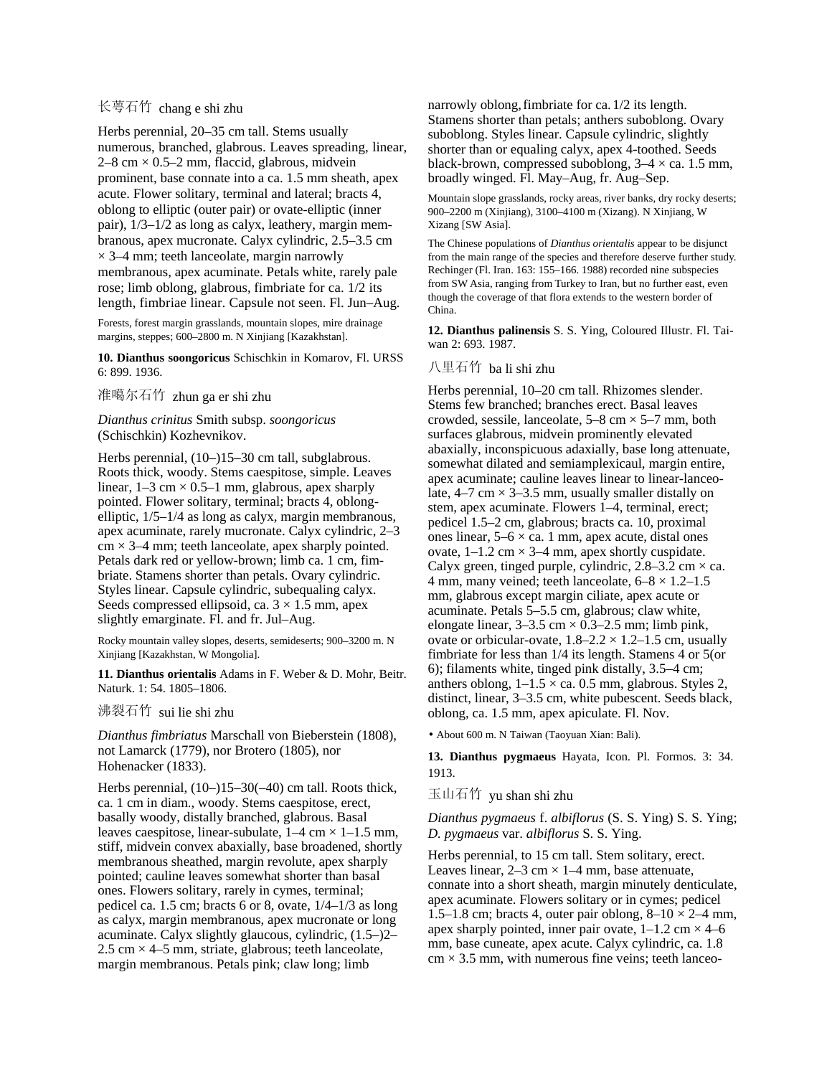## 长萼石竹 chang e shi zhu

Herbs perennial, 20–35 cm tall. Stems usually numerous, branched, glabrous. Leaves spreading, linear,  $2-8$  cm  $\times$  0.5–2 mm, flaccid, glabrous, midvein prominent, base connate into a ca. 1.5 mm sheath, apex acute. Flower solitary, terminal and lateral; bracts 4, oblong to elliptic (outer pair) or ovate-elliptic (inner pair), 1/3–1/2 as long as calyx, leathery, margin membranous, apex mucronate. Calyx cylindric, 2.5–3.5 cm  $\times$  3–4 mm; teeth lanceolate, margin narrowly membranous, apex acuminate. Petals white, rarely pale rose; limb oblong, glabrous, fimbriate for ca. 1/2 its length, fimbriae linear. Capsule not seen. Fl. Jun–Aug.

Forests, forest margin grasslands, mountain slopes, mire drainage margins, steppes; 600–2800 m. N Xinjiang [Kazakhstan].

**10. Dianthus soongoricus** Schischkin in Komarov, Fl. URSS 6: 899. 1936.

## 准噶尔石竹 zhun ga er shi zhu

#### *Dianthus crinitus* Smith subsp. *soongoricus* (Schischkin) Kozhevnikov.

Herbs perennial,  $(10-)15-30$  cm tall, subglabrous. Roots thick, woody. Stems caespitose, simple. Leaves linear,  $1-3$  cm  $\times$  0.5–1 mm, glabrous, apex sharply pointed. Flower solitary, terminal; bracts 4, oblongelliptic, 1/5–1/4 as long as calyx, margin membranous, apex acuminate, rarely mucronate. Calyx cylindric, 2–3  $\text{cm} \times 3-4$  mm; teeth lanceolate, apex sharply pointed. Petals dark red or yellow-brown; limb ca. 1 cm, fimbriate. Stamens shorter than petals. Ovary cylindric. Styles linear. Capsule cylindric, subequaling calyx. Seeds compressed ellipsoid, ca.  $3 \times 1.5$  mm, apex slightly emarginate. Fl. and fr. Jul–Aug.

Rocky mountain valley slopes, deserts, semideserts; 900–3200 m. N Xinjiang [Kazakhstan, W Mongolia].

**11. Dianthus orientalis** Adams in F. Weber & D. Mohr, Beitr. Naturk. 1: 54. 1805–1806.

### 沸裂石竹 sui lie shi zhu

*Dianthus fimbriatus* Marschall von Bieberstein (1808), not Lamarck (1779), nor Brotero (1805), nor Hohenacker (1833).

Herbs perennial, (10–)15–30(–40) cm tall. Roots thick, ca. 1 cm in diam., woody. Stems caespitose, erect, basally woody, distally branched, glabrous. Basal leaves caespitose, linear-subulate,  $1-4$  cm  $\times$  1–1.5 mm, stiff, midvein convex abaxially, base broadened, shortly membranous sheathed, margin revolute, apex sharply pointed; cauline leaves somewhat shorter than basal ones. Flowers solitary, rarely in cymes, terminal; pedicel ca. 1.5 cm; bracts 6 or 8, ovate, 1/4–1/3 as long as calyx, margin membranous, apex mucronate or long acuminate. Calyx slightly glaucous, cylindric, (1.5–)2– 2.5 cm  $\times$  4–5 mm, striate, glabrous; teeth lanceolate, margin membranous. Petals pink; claw long; limb

narrowly oblong,fimbriate for ca.1/2 its length. Stamens shorter than petals; anthers suboblong. Ovary suboblong. Styles linear. Capsule cylindric, slightly shorter than or equaling calyx, apex 4-toothed. Seeds black-brown, compressed suboblong,  $3-4 \times$  ca. 1.5 mm, broadly winged. Fl. May–Aug, fr. Aug–Sep.

Mountain slope grasslands, rocky areas, river banks, dry rocky deserts; 900–2200 m (Xinjiang), 3100–4100 m (Xizang). N Xinjiang, W Xizang [SW Asia].

The Chinese populations of *Dianthus orientalis* appear to be disjunct from the main range of the species and therefore deserve further study. Rechinger (Fl. Iran. 163: 155–166. 1988) recorded nine subspecies from SW Asia, ranging from Turkey to Iran, but no further east, even though the coverage of that flora extends to the western border of China.

**12. Dianthus palinensis** S. S. Ying, Coloured Illustr. Fl. Taiwan 2: 693. 1987.

## 八里石竹 ba li shi zhu

Herbs perennial, 10–20 cm tall. Rhizomes slender. Stems few branched; branches erect. Basal leaves crowded, sessile, lanceolate,  $5-8$  cm  $\times$  5–7 mm, both surfaces glabrous, midvein prominently elevated abaxially, inconspicuous adaxially, base long attenuate, somewhat dilated and semiamplexicaul, margin entire, apex acuminate; cauline leaves linear to linear-lanceolate,  $4-7$  cm  $\times$  3-3.5 mm, usually smaller distally on stem, apex acuminate. Flowers 1–4, terminal, erect; pedicel 1.5–2 cm, glabrous; bracts ca. 10, proximal ones linear,  $5-6 \times$  ca. 1 mm, apex acute, distal ones ovate,  $1-1.2$  cm  $\times$  3-4 mm, apex shortly cuspidate. Calyx green, tinged purple, cylindric,  $2.8-3.2$  cm  $\times$  ca. 4 mm, many veined; teeth lanceolate,  $6-8 \times 1.2-1.5$ mm, glabrous except margin ciliate, apex acute or acuminate. Petals 5–5.5 cm, glabrous; claw white, elongate linear,  $3-3.5$  cm  $\times$  0.3-2.5 mm; limb pink, ovate or orbicular-ovate,  $1.8-2.2 \times 1.2-1.5$  cm, usually fimbriate for less than 1/4 its length. Stamens 4 or 5(or 6); filaments white, tinged pink distally, 3.5–4 cm; anthers oblong,  $1-1.5 \times$  ca. 0.5 mm, glabrous. Styles 2, distinct, linear, 3–3.5 cm, white pubescent. Seeds black, oblong, ca. 1.5 mm, apex apiculate. Fl. Nov.

• About 600 m. N Taiwan (Taoyuan Xian: Bali).

**13. Dianthus pygmaeus** Hayata, Icon. Pl. Formos. 3: 34. 1913.

玉山石竹 yu shan shi zhu

### *Dianthus pygmaeus* f. *albiflorus* (S. S. Ying) S. S. Ying; *D. pygmaeus* var. *albiflorus* S. S. Ying.

Herbs perennial, to 15 cm tall. Stem solitary, erect. Leaves linear,  $2-3$  cm  $\times$  1-4 mm, base attenuate, connate into a short sheath, margin minutely denticulate, apex acuminate. Flowers solitary or in cymes; pedicel 1.5–1.8 cm; bracts 4, outer pair oblong,  $8-10 \times 2-4$  mm, apex sharply pointed, inner pair ovate,  $1-1.2$  cm  $\times$  4–6 mm, base cuneate, apex acute. Calyx cylindric, ca. 1.8  $cm \times 3.5$  mm, with numerous fine veins; teeth lanceo